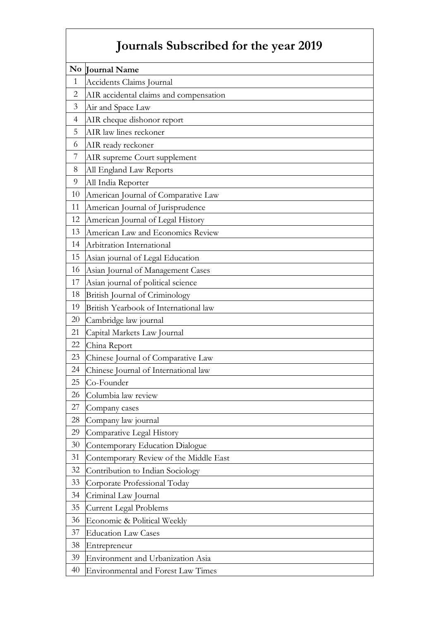## **Journals Subscribed for the year 2019**

| N <sub>0</sub> | <b>Journal Name</b>                       |
|----------------|-------------------------------------------|
| $\mathbf{1}$   | Accidents Claims Journal                  |
| $\overline{2}$ | AIR accidental claims and compensation    |
| 3              | Air and Space Law                         |
| $\overline{4}$ | AIR cheque dishonor report                |
| 5              | AIR law lines reckoner                    |
| 6              | AIR ready reckoner                        |
| 7              | AIR supreme Court supplement              |
| 8              | All England Law Reports                   |
| 9              | All India Reporter                        |
| 10             | American Journal of Comparative Law       |
| 11             | American Journal of Jurisprudence         |
| 12             | American Journal of Legal History         |
| 13             | American Law and Economics Review         |
| 14             | Arbitration International                 |
| 15             | Asian journal of Legal Education          |
| 16             | Asian Journal of Management Cases         |
| 17             | Asian journal of political science        |
| 18             | British Journal of Criminology            |
| 19             | British Yearbook of International law     |
| 20             | Cambridge law journal                     |
| 21             | Capital Markets Law Journal               |
| 22             | China Report                              |
| 23             | Chinese Journal of Comparative Law        |
| 24             | Chinese Journal of International law      |
| 25             | Co-Founder                                |
| 26             | Columbia law review                       |
| 27             | Company cases                             |
| 28             | Company law journal                       |
| 29             | Comparative Legal History                 |
| 30             | Contemporary Education Dialogue           |
| 31             | Contemporary Review of the Middle East    |
| 32             | Contribution to Indian Sociology          |
| 33             | Corporate Professional Today              |
| 34             | Criminal Law Journal                      |
| 35             | <b>Current Legal Problems</b>             |
| 36             | Economic & Political Weekly               |
| 37             | <b>Education Law Cases</b>                |
| 38             | Entrepreneur                              |
| 39             | Environment and Urbanization Asia         |
| 40             | <b>Environmental and Forest Law Times</b> |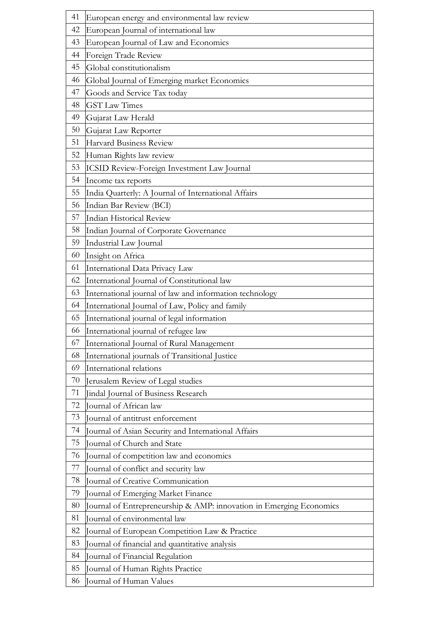| 41 | European energy and environmental law review                        |
|----|---------------------------------------------------------------------|
| 42 | European Journal of international law                               |
| 43 | European Journal of Law and Economics                               |
| 44 | Foreign Trade Review                                                |
| 45 | Global constitutionalism                                            |
| 46 | Global Journal of Emerging market Economics                         |
| 47 | Goods and Service Tax today                                         |
| 48 | <b>GST Law Times</b>                                                |
| 49 | Gujarat Law Herald                                                  |
| 50 | Gujarat Law Reporter                                                |
| 51 | Harvard Business Review                                             |
| 52 | Human Rights law review                                             |
| 53 | ICSID Review-Foreign Investment Law Journal                         |
| 54 | Income tax reports                                                  |
| 55 | India Quarterly: A Journal of International Affairs                 |
| 56 | Indian Bar Review (BCI)                                             |
| 57 | <b>Indian Historical Review</b>                                     |
| 58 | Indian Journal of Corporate Governance                              |
| 59 | Industrial Law Journal                                              |
| 60 | Insight on Africa                                                   |
| 61 | International Data Privacy Law                                      |
| 62 | International Journal of Constitutional law                         |
| 63 | International journal of law and information technology             |
| 64 | International Journal of Law, Policy and family                     |
| 65 | International journal of legal information                          |
| 66 | International journal of refugee law                                |
| 67 | International Journal of Rural Management                           |
| 68 | International journals of Transitional Justice                      |
| 69 | International relations                                             |
| 70 | Jerusalem Review of Legal studies                                   |
| 71 | Jindal Journal of Business Research                                 |
| 72 | Journal of African law                                              |
| 73 | Journal of antitrust enforcement                                    |
| 74 | Journal of Asian Security and International Affairs                 |
| 75 | Journal of Church and State                                         |
| 76 | Journal of competition law and economics                            |
| 77 | Journal of conflict and security law                                |
| 78 | Journal of Creative Communication                                   |
| 79 | Journal of Emerging Market Finance                                  |
| 80 | Journal of Entrepreneurship & AMP: innovation in Emerging Economics |
| 81 | Journal of environmental law                                        |
| 82 | Journal of European Competition Law & Practice                      |
| 83 | Journal of financial and quantitative analysis                      |
| 84 | Journal of Financial Regulation                                     |
| 85 | Journal of Human Rights Practice                                    |
| 86 | Journal of Human Values                                             |